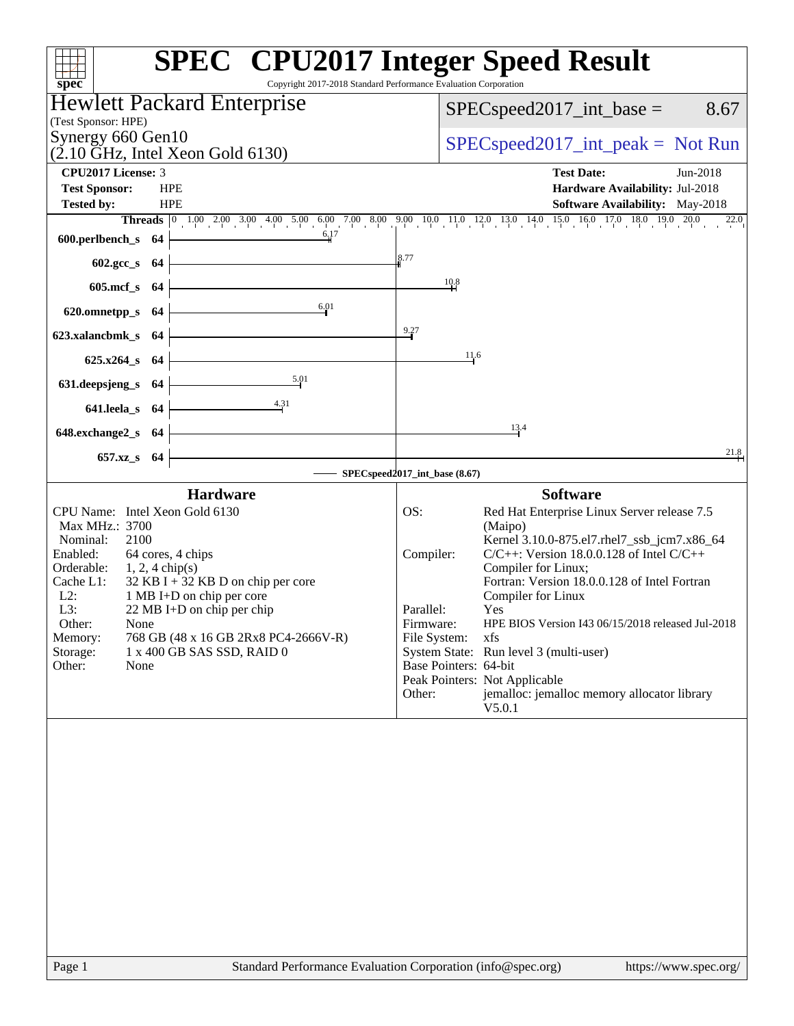| spec <sup>®</sup>                                                        | <b>SPEC<sup>®</sup></b> CPU2017 Integer Speed Result<br>Copyright 2017-2018 Standard Performance Evaluation Corporation      |
|--------------------------------------------------------------------------|------------------------------------------------------------------------------------------------------------------------------|
| Hewlett Packard Enterprise                                               | $SPEC speed2017\_int\_base =$<br>8.67                                                                                        |
| (Test Sponsor: HPE)                                                      |                                                                                                                              |
| Synergy 660 Gen10<br>$(2.10 \text{ GHz}, \text{Intel Xeon Gold } 6130)$  | $SPEC speed2017\_int\_peak = Not Run$                                                                                        |
| CPU2017 License: 3                                                       | <b>Test Date:</b><br>Jun-2018                                                                                                |
| <b>Test Sponsor:</b><br><b>HPE</b>                                       | Hardware Availability: Jul-2018                                                                                              |
| <b>Tested by:</b><br><b>HPE</b>                                          | Software Availability: May-2018                                                                                              |
| 6.17                                                                     | <b>Threads</b> 0 1.00 2.00 3.00 4.00 5.00 6.00 7.00 8.00 9.00 10.0 11.0 12.0 13.0 14.0 15.0 16.0 17.0 18.0 19.0 20.0<br>22.0 |
| 600.perlbench_s<br>- 64                                                  |                                                                                                                              |
| 602.gcc_s 64                                                             | 8.77                                                                                                                         |
| $605$ .mcf_s<br>-64                                                      | 10.8                                                                                                                         |
| 6.01<br>620.omnetpp_s<br>-64                                             |                                                                                                                              |
| 623.xalancbmk s 64                                                       | 9.27                                                                                                                         |
| $625.x264_s$<br>- 64                                                     | 11.6                                                                                                                         |
| 5.01<br>631.deepsjeng_s<br>-64                                           |                                                                                                                              |
| 4.31<br>641.leela_s<br>-64                                               |                                                                                                                              |
|                                                                          | 13.4                                                                                                                         |
| 648.exchange2_s<br>-64                                                   | 21.8                                                                                                                         |
| 657.xz_s<br>-64                                                          | SPECspeed2017_int_base (8.67)                                                                                                |
| <b>Hardware</b>                                                          | <b>Software</b>                                                                                                              |
| CPU Name: Intel Xeon Gold 6130                                           | OS:<br>Red Hat Enterprise Linux Server release 7.5                                                                           |
| Max MHz.: 3700                                                           | (Maipo)                                                                                                                      |
| 2100<br>Nominal:<br>Enabled:<br>64 cores, 4 chips                        | Kernel 3.10.0-875.el7.rhel7_ssb_jcm7.x86_64<br>$C/C++$ : Version 18.0.0.128 of Intel $C/C++$<br>Compiler:                    |
| Orderable:<br>$1, 2, 4$ chip(s)                                          | Compiler for Linux;                                                                                                          |
| $32$ KB I + 32 KB D on chip per core<br>Cache L1:                        | Fortran: Version 18.0.0.128 of Intel Fortran                                                                                 |
| $L2$ :<br>1 MB I+D on chip per core<br>L3:<br>22 MB I+D on chip per chip | Compiler for Linux<br>Parallel:<br>Yes                                                                                       |
| Other:<br>None                                                           | HPE BIOS Version I43 06/15/2018 released Jul-2018<br>Firmware:                                                               |
| Memory:<br>768 GB (48 x 16 GB 2Rx8 PC4-2666V-R)                          | File System:<br>xfs                                                                                                          |
| Storage:<br>1 x 400 GB SAS SSD, RAID 0<br>Other:<br>None                 | System State: Run level 3 (multi-user)<br>Base Pointers: 64-bit                                                              |
|                                                                          | Peak Pointers: Not Applicable                                                                                                |
|                                                                          | jemalloc: jemalloc memory allocator library<br>Other:<br>V5.0.1                                                              |
|                                                                          |                                                                                                                              |
|                                                                          |                                                                                                                              |
|                                                                          |                                                                                                                              |
|                                                                          |                                                                                                                              |
|                                                                          |                                                                                                                              |
|                                                                          |                                                                                                                              |
|                                                                          |                                                                                                                              |
|                                                                          |                                                                                                                              |
|                                                                          |                                                                                                                              |
|                                                                          |                                                                                                                              |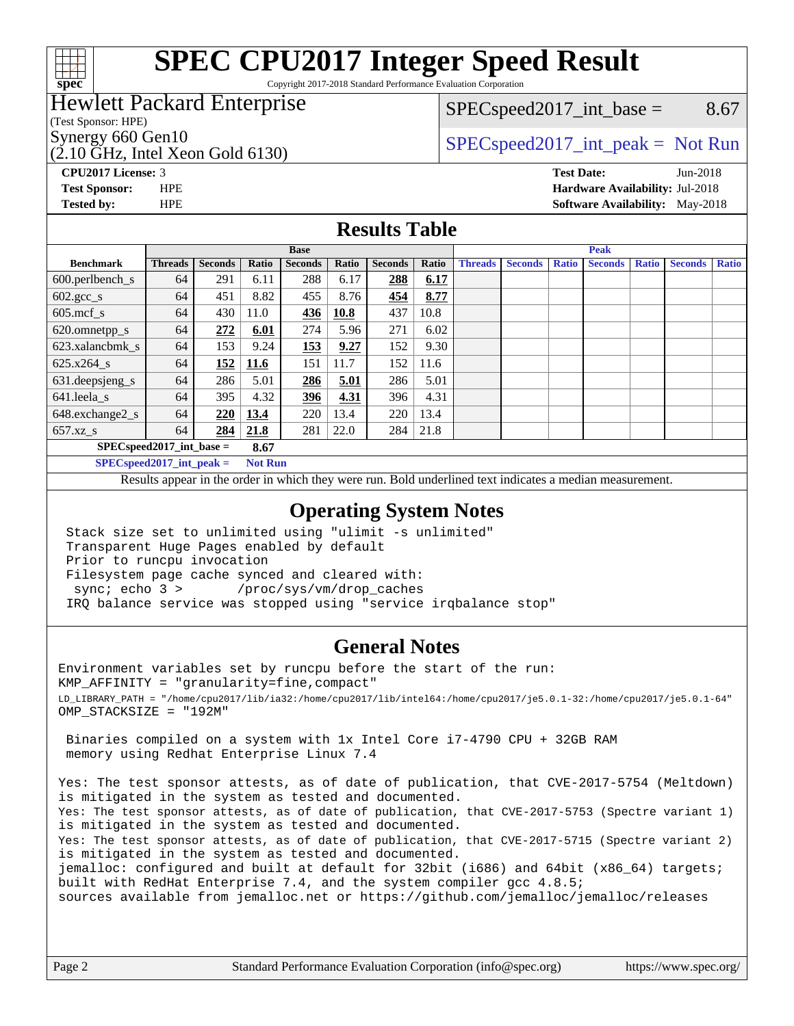

# **[SPEC CPU2017 Integer Speed Result](http://www.spec.org/auto/cpu2017/Docs/result-fields.html#SPECCPU2017IntegerSpeedResult)**

Copyright 2017-2018 Standard Performance Evaluation Corporation

### Hewlett Packard Enterprise

(Test Sponsor: HPE)

(2.10 GHz, Intel Xeon Gold 6130)

 $SPEC speed2017\_int\_base =$  8.67

### Synergy 660 Gen10  $SPEC speed2017\_int\_peak = Not Run$

**[Tested by:](http://www.spec.org/auto/cpu2017/Docs/result-fields.html#Testedby)** HPE **[Software Availability:](http://www.spec.org/auto/cpu2017/Docs/result-fields.html#SoftwareAvailability)** May-2018

**[CPU2017 License:](http://www.spec.org/auto/cpu2017/Docs/result-fields.html#CPU2017License)** 3 **[Test Date:](http://www.spec.org/auto/cpu2017/Docs/result-fields.html#TestDate)** Jun-2018 **[Test Sponsor:](http://www.spec.org/auto/cpu2017/Docs/result-fields.html#TestSponsor)** HPE **[Hardware Availability:](http://www.spec.org/auto/cpu2017/Docs/result-fields.html#HardwareAvailability)** Jul-2018

#### **[Results Table](http://www.spec.org/auto/cpu2017/Docs/result-fields.html#ResultsTable)**

|                                    | <b>Base</b>    |                |       |                |       |                | <b>Peak</b> |                |                |              |                |              |                |              |
|------------------------------------|----------------|----------------|-------|----------------|-------|----------------|-------------|----------------|----------------|--------------|----------------|--------------|----------------|--------------|
| <b>Benchmark</b>                   | <b>Threads</b> | <b>Seconds</b> | Ratio | <b>Seconds</b> | Ratio | <b>Seconds</b> | Ratio       | <b>Threads</b> | <b>Seconds</b> | <b>Ratio</b> | <b>Seconds</b> | <b>Ratio</b> | <b>Seconds</b> | <b>Ratio</b> |
| $600.$ perlbench $\mathsf{S}$      | 64             | 291            | 6.11  | 288            | 6.17  | 288            | 6.17        |                |                |              |                |              |                |              |
| $602.\text{gcc}\_\text{s}$         | 64             | 451            | 8.82  | 455            | 8.76  | 454            | 8.77        |                |                |              |                |              |                |              |
| $605$ .mcf s                       | 64             | 430            | 11.0  | 436            | 10.8  | 437            | 10.8        |                |                |              |                |              |                |              |
| 620.omnetpp_s                      | 64             | 272            | 6.01  | 274            | 5.96  | 271            | 6.02        |                |                |              |                |              |                |              |
| 623.xalancbmk s                    | 64             | 153            | 9.24  | 153            | 9.27  | 152            | 9.30        |                |                |              |                |              |                |              |
| $625.x264$ s                       | 64             | 152            | 11.6  | 151            | 11.7  | 152            | 11.6        |                |                |              |                |              |                |              |
| 631.deepsjeng_s                    | 64             | 286            | 5.01  | 286            | 5.01  | 286            | 5.01        |                |                |              |                |              |                |              |
| 641.leela_s                        | 64             | 395            | 4.32  | 396            | 4.31  | 396            | 4.31        |                |                |              |                |              |                |              |
| 648.exchange2_s                    | 64             | 220            | 13.4  | 220            | 13.4  | 220            | 13.4        |                |                |              |                |              |                |              |
| $657.xz$ <sub>_S</sub>             | 64             | 284            | 21.8  | 281            | 22.0  | 284            | 21.8        |                |                |              |                |              |                |              |
| $SPECspeed2017$ int base =<br>8.67 |                |                |       |                |       |                |             |                |                |              |                |              |                |              |

**[SPECspeed2017\\_int\\_peak =](http://www.spec.org/auto/cpu2017/Docs/result-fields.html#SPECspeed2017intpeak) Not Run**

Results appear in the [order in which they were run.](http://www.spec.org/auto/cpu2017/Docs/result-fields.html#RunOrder) Bold underlined text [indicates a median measurement.](http://www.spec.org/auto/cpu2017/Docs/result-fields.html#Median)

#### **[Operating System Notes](http://www.spec.org/auto/cpu2017/Docs/result-fields.html#OperatingSystemNotes)**

 Stack size set to unlimited using "ulimit -s unlimited" Transparent Huge Pages enabled by default Prior to runcpu invocation Filesystem page cache synced and cleared with: sync; echo 3 > /proc/sys/vm/drop\_caches IRQ balance service was stopped using "service irqbalance stop"

#### **[General Notes](http://www.spec.org/auto/cpu2017/Docs/result-fields.html#GeneralNotes)**

Environment variables set by runcpu before the start of the run: KMP\_AFFINITY = "granularity=fine,compact" LD\_LIBRARY\_PATH = "/home/cpu2017/lib/ia32:/home/cpu2017/lib/intel64:/home/cpu2017/je5.0.1-32:/home/cpu2017/je5.0.1-64" OMP\_STACKSIZE = "192M"

 Binaries compiled on a system with 1x Intel Core i7-4790 CPU + 32GB RAM memory using Redhat Enterprise Linux 7.4

Yes: The test sponsor attests, as of date of publication, that CVE-2017-5754 (Meltdown) is mitigated in the system as tested and documented. Yes: The test sponsor attests, as of date of publication, that CVE-2017-5753 (Spectre variant 1) is mitigated in the system as tested and documented. Yes: The test sponsor attests, as of date of publication, that CVE-2017-5715 (Spectre variant 2) is mitigated in the system as tested and documented. jemalloc: configured and built at default for 32bit (i686) and 64bit (x86\_64) targets; built with RedHat Enterprise 7.4, and the system compiler gcc 4.8.5; sources available from jemalloc.net or <https://github.com/jemalloc/jemalloc/releases>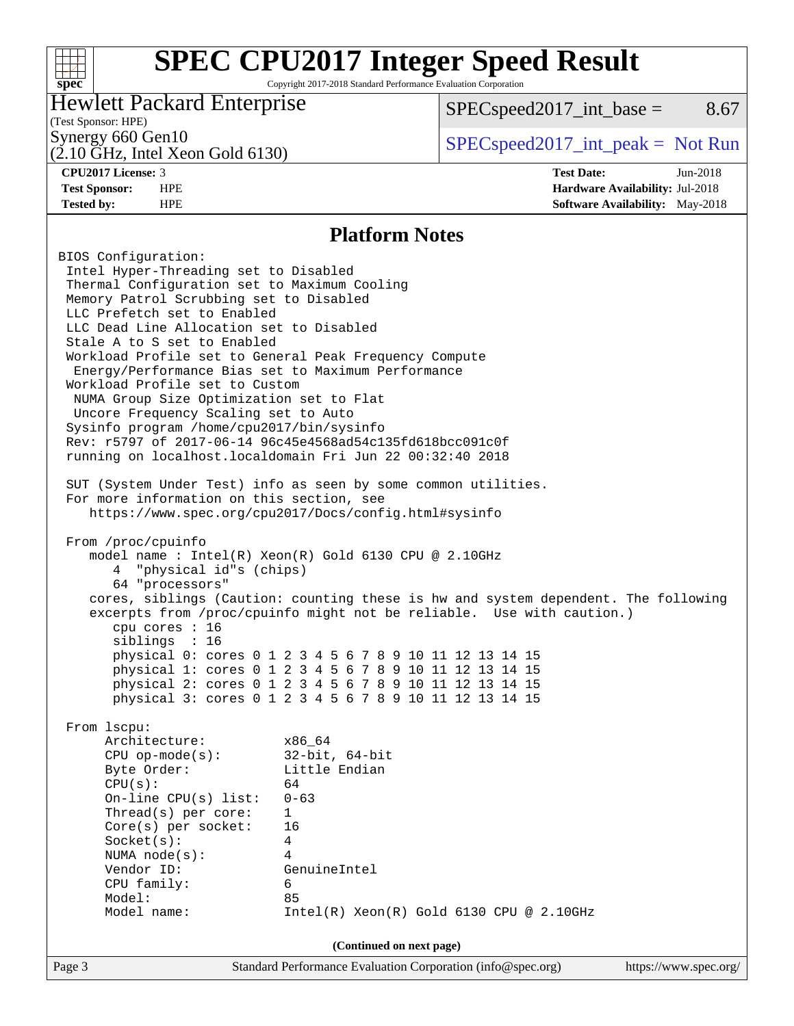#### **[SPEC CPU2017 Integer Speed Result](http://www.spec.org/auto/cpu2017/Docs/result-fields.html#SPECCPU2017IntegerSpeedResult)**  $+\ +$ **[spec](http://www.spec.org/)** Copyright 2017-2018 Standard Performance Evaluation Corporation Hewlett Packard Enterprise  $SPEC speed2017\_int\_base =$  8.67 (Test Sponsor: HPE) Synergy 660 Gen10  $SPEC speed2017\_int\_peak = Not Run$ (2.10 GHz, Intel Xeon Gold 6130) **[CPU2017 License:](http://www.spec.org/auto/cpu2017/Docs/result-fields.html#CPU2017License)** 3 **[Test Date:](http://www.spec.org/auto/cpu2017/Docs/result-fields.html#TestDate)** Jun-2018 **[Test Sponsor:](http://www.spec.org/auto/cpu2017/Docs/result-fields.html#TestSponsor)** HPE **[Hardware Availability:](http://www.spec.org/auto/cpu2017/Docs/result-fields.html#HardwareAvailability)** Jul-2018 **[Tested by:](http://www.spec.org/auto/cpu2017/Docs/result-fields.html#Testedby)** HPE **[Software Availability:](http://www.spec.org/auto/cpu2017/Docs/result-fields.html#SoftwareAvailability)** May-2018 **[Platform Notes](http://www.spec.org/auto/cpu2017/Docs/result-fields.html#PlatformNotes)** BIOS Configuration: Intel Hyper-Threading set to Disabled Thermal Configuration set to Maximum Cooling Memory Patrol Scrubbing set to Disabled LLC Prefetch set to Enabled LLC Dead Line Allocation set to Disabled Stale A to S set to Enabled Workload Profile set to General Peak Frequency Compute Energy/Performance Bias set to Maximum Performance Workload Profile set to Custom NUMA Group Size Optimization set to Flat Uncore Frequency Scaling set to Auto Sysinfo program /home/cpu2017/bin/sysinfo Rev: r5797 of 2017-06-14 96c45e4568ad54c135fd618bcc091c0f running on localhost.localdomain Fri Jun 22 00:32:40 2018 SUT (System Under Test) info as seen by some common utilities. For more information on this section, see <https://www.spec.org/cpu2017/Docs/config.html#sysinfo> From /proc/cpuinfo model name : Intel(R) Xeon(R) Gold 6130 CPU @ 2.10GHz 4 "physical id"s (chips) 64 "processors" cores, siblings (Caution: counting these is hw and system dependent. The following excerpts from /proc/cpuinfo might not be reliable. Use with caution.) cpu cores : 16 siblings : 16 physical 0: cores 0 1 2 3 4 5 6 7 8 9 10 11 12 13 14 15 physical 1: cores 0 1 2 3 4 5 6 7 8 9 10 11 12 13 14 15 physical 2: cores 0 1 2 3 4 5 6 7 8 9 10 11 12 13 14 15 physical 3: cores 0 1 2 3 4 5 6 7 8 9 10 11 12 13 14 15 From lscpu: Architecture: x86\_64 CPU op-mode(s): 32-bit, 64-bit Byte Order: Little Endian  $CPU(s):$  64 On-line CPU(s) list: 0-63 Thread(s) per core: 1 Core(s) per socket: 16 Socket(s): 4 NUMA node(s): 4 Vendor ID: GenuineIntel CPU family: 6 Model: 85 Model name: Intel(R) Xeon(R) Gold 6130 CPU @ 2.10GHz **(Continued on next page)**

Page 3 Standard Performance Evaluation Corporation [\(info@spec.org\)](mailto:info@spec.org) <https://www.spec.org/>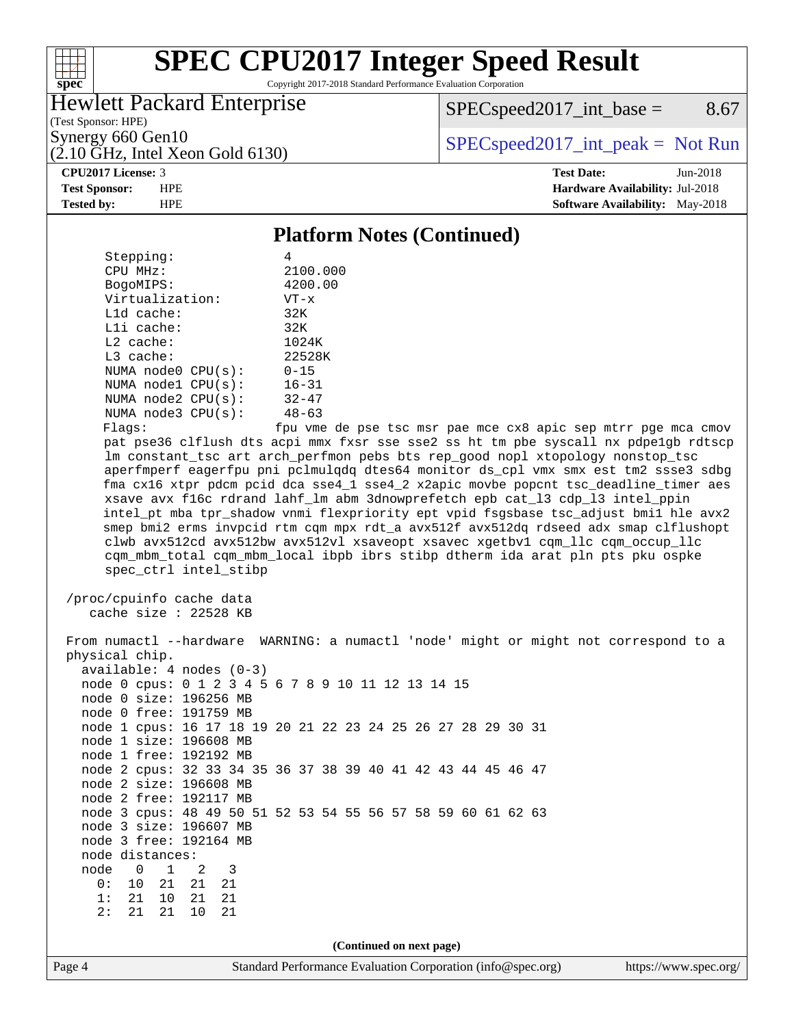#### $+\!\!+\!\!$ **[spec](http://www.spec.org/)**

## **[SPEC CPU2017 Integer Speed Result](http://www.spec.org/auto/cpu2017/Docs/result-fields.html#SPECCPU2017IntegerSpeedResult)**

Copyright 2017-2018 Standard Performance Evaluation Corporation

#### Hewlett Packard Enterprise

(2.10 GHz, Intel Xeon Gold 6130)

 $SPEC speed2017\_int\_base =$  8.67

(Test Sponsor: HPE)

Synergy 660 Gen10  $SPEC speed2017\_int\_peak = Not Run$ 

**[CPU2017 License:](http://www.spec.org/auto/cpu2017/Docs/result-fields.html#CPU2017License)** 3 **[Test Date:](http://www.spec.org/auto/cpu2017/Docs/result-fields.html#TestDate)** Jun-2018 **[Test Sponsor:](http://www.spec.org/auto/cpu2017/Docs/result-fields.html#TestSponsor)** HPE **[Hardware Availability:](http://www.spec.org/auto/cpu2017/Docs/result-fields.html#HardwareAvailability)** Jul-2018 **[Tested by:](http://www.spec.org/auto/cpu2017/Docs/result-fields.html#Testedby)** HPE **[Software Availability:](http://www.spec.org/auto/cpu2017/Docs/result-fields.html#SoftwareAvailability)** May-2018

#### **[Platform Notes \(Continued\)](http://www.spec.org/auto/cpu2017/Docs/result-fields.html#PlatformNotes)**

| Stepping:               |                           |  |  |  |
|-------------------------|---------------------------|--|--|--|
| CPU MHz:                | 2100.000                  |  |  |  |
| BogoMIPS:               | 4200.00                   |  |  |  |
| Virtualization:         | $VT - x$                  |  |  |  |
| $L1d$ cache:            | 32K                       |  |  |  |
| $L1i$ cache:            | 32K                       |  |  |  |
| $L2$ cache:             | 1024K                     |  |  |  |
| $L3$ cache:             | 22528K                    |  |  |  |
| NUMA $node0$ $CPU(s)$ : | $0 - 15$                  |  |  |  |
| NUMA $node1$ $CPU(s)$ : | $16 - 31$                 |  |  |  |
| NUMA $node2$ $CPU(s)$ : | $32 - 47$                 |  |  |  |
| NUMA $node3$ $CPU(s)$ : | $48 - 63$                 |  |  |  |
| Flanc:                  | ≙מ <i>חז</i> נות f<br>∍ا∩ |  |  |  |

 Flags: fpu vme de pse tsc msr pae mce cx8 apic sep mtrr pge mca cmov pat pse36 clflush dts acpi mmx fxsr sse sse2 ss ht tm pbe syscall nx pdpe1gb rdtscp lm constant\_tsc art arch\_perfmon pebs bts rep\_good nopl xtopology nonstop\_tsc aperfmperf eagerfpu pni pclmulqdq dtes64 monitor ds\_cpl vmx smx est tm2 ssse3 sdbg fma cx16 xtpr pdcm pcid dca sse4\_1 sse4\_2 x2apic movbe popcnt tsc\_deadline\_timer aes xsave avx f16c rdrand lahf\_lm abm 3dnowprefetch epb cat\_l3 cdp\_l3 intel\_ppin intel\_pt mba tpr\_shadow vnmi flexpriority ept vpid fsgsbase tsc\_adjust bmi1 hle avx2 smep bmi2 erms invpcid rtm cqm mpx rdt\_a avx512f avx512dq rdseed adx smap clflushopt clwb avx512cd avx512bw avx512vl xsaveopt xsavec xgetbv1 cqm\_llc cqm\_occup\_llc cqm\_mbm\_total cqm\_mbm\_local ibpb ibrs stibp dtherm ida arat pln pts pku ospke spec\_ctrl intel\_stibp

```
 /proc/cpuinfo cache data
cache size : 22528 KB
```
Page 4 Standard Performance Evaluation Corporation [\(info@spec.org\)](mailto:info@spec.org) <https://www.spec.org/> From numactl --hardware WARNING: a numactl 'node' might or might not correspond to a physical chip. available: 4 nodes (0-3) node 0 cpus: 0 1 2 3 4 5 6 7 8 9 10 11 12 13 14 15 node 0 size: 196256 MB node 0 free: 191759 MB node 1 cpus: 16 17 18 19 20 21 22 23 24 25 26 27 28 29 30 31 node 1 size: 196608 MB node 1 free: 192192 MB node 2 cpus: 32 33 34 35 36 37 38 39 40 41 42 43 44 45 46 47 node 2 size: 196608 MB node 2 free: 192117 MB node 3 cpus: 48 49 50 51 52 53 54 55 56 57 58 59 60 61 62 63 node 3 size: 196607 MB node 3 free: 192164 MB node distances: node 0 1 2 3 0: 10 21 21 21 1: 21 10 21 21 2: 21 21 10 21 **(Continued on next page)**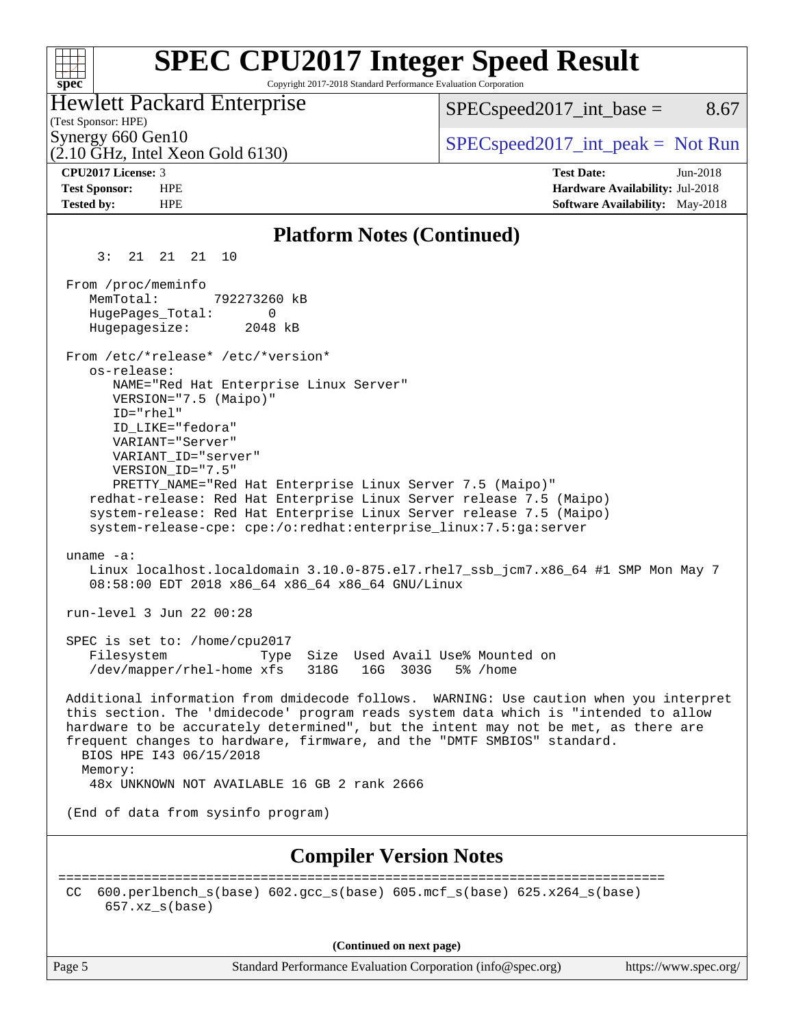#### **[SPEC CPU2017 Integer Speed Result](http://www.spec.org/auto/cpu2017/Docs/result-fields.html#SPECCPU2017IntegerSpeedResult)**  $+\ +$ Copyright 2017-2018 Standard Performance Evaluation Corporation **[spec](http://www.spec.org/)** Hewlett Packard Enterprise  $SPEC speed2017\_int\_base =$  8.67 (Test Sponsor: HPE) Synergy 660 Gen10<br>  $SPEC speed2017\_int\_peak = Not Run$ (2.10 GHz, Intel Xeon Gold 6130) **[CPU2017 License:](http://www.spec.org/auto/cpu2017/Docs/result-fields.html#CPU2017License)** 3 **[Test Date:](http://www.spec.org/auto/cpu2017/Docs/result-fields.html#TestDate)** Jun-2018 **[Test Sponsor:](http://www.spec.org/auto/cpu2017/Docs/result-fields.html#TestSponsor)** HPE **[Hardware Availability:](http://www.spec.org/auto/cpu2017/Docs/result-fields.html#HardwareAvailability)** Jul-2018 **[Tested by:](http://www.spec.org/auto/cpu2017/Docs/result-fields.html#Testedby)** HPE **[Software Availability:](http://www.spec.org/auto/cpu2017/Docs/result-fields.html#SoftwareAvailability)** May-2018 **[Platform Notes \(Continued\)](http://www.spec.org/auto/cpu2017/Docs/result-fields.html#PlatformNotes)** 3: 21 21 21 10 From /proc/meminfo MemTotal: 792273260 kB HugePages\_Total: 0 Hugepagesize: 2048 kB From /etc/\*release\* /etc/\*version\* os-release: NAME="Red Hat Enterprise Linux Server" VERSION="7.5 (Maipo)" ID="rhel" ID\_LIKE="fedora" VARIANT="Server" VARIANT\_ID="server" VERSION\_ID="7.5" PRETTY\_NAME="Red Hat Enterprise Linux Server 7.5 (Maipo)" redhat-release: Red Hat Enterprise Linux Server release 7.5 (Maipo) system-release: Red Hat Enterprise Linux Server release 7.5 (Maipo) system-release-cpe: cpe:/o:redhat:enterprise\_linux:7.5:ga:server uname -a: Linux localhost.localdomain 3.10.0-875.el7.rhel7\_ssb\_jcm7.x86\_64 #1 SMP Mon May 7 08:58:00 EDT 2018 x86\_64 x86\_64 x86\_64 GNU/Linux run-level 3 Jun 22 00:28 SPEC is set to: /home/cpu2017 Filesystem Type Size Used Avail Use% Mounted on /dev/mapper/rhel-home xfs 318G 16G 303G 5% /home Additional information from dmidecode follows. WARNING: Use caution when you interpret this section. The 'dmidecode' program reads system data which is "intended to allow hardware to be accurately determined", but the intent may not be met, as there are frequent changes to hardware, firmware, and the "DMTF SMBIOS" standard. BIOS HPE I43 06/15/2018 Memory: 48x UNKNOWN NOT AVAILABLE 16 GB 2 rank 2666 (End of data from sysinfo program) **[Compiler Version Notes](http://www.spec.org/auto/cpu2017/Docs/result-fields.html#CompilerVersionNotes)** ============================================================================== CC 600.perlbench  $s(base)$  602.gcc  $s(base)$  605.mcf  $s(base)$  625.x264  $s(base)$  657.xz\_s(base) **(Continued on next page)**

Page 5 Standard Performance Evaluation Corporation [\(info@spec.org\)](mailto:info@spec.org) <https://www.spec.org/>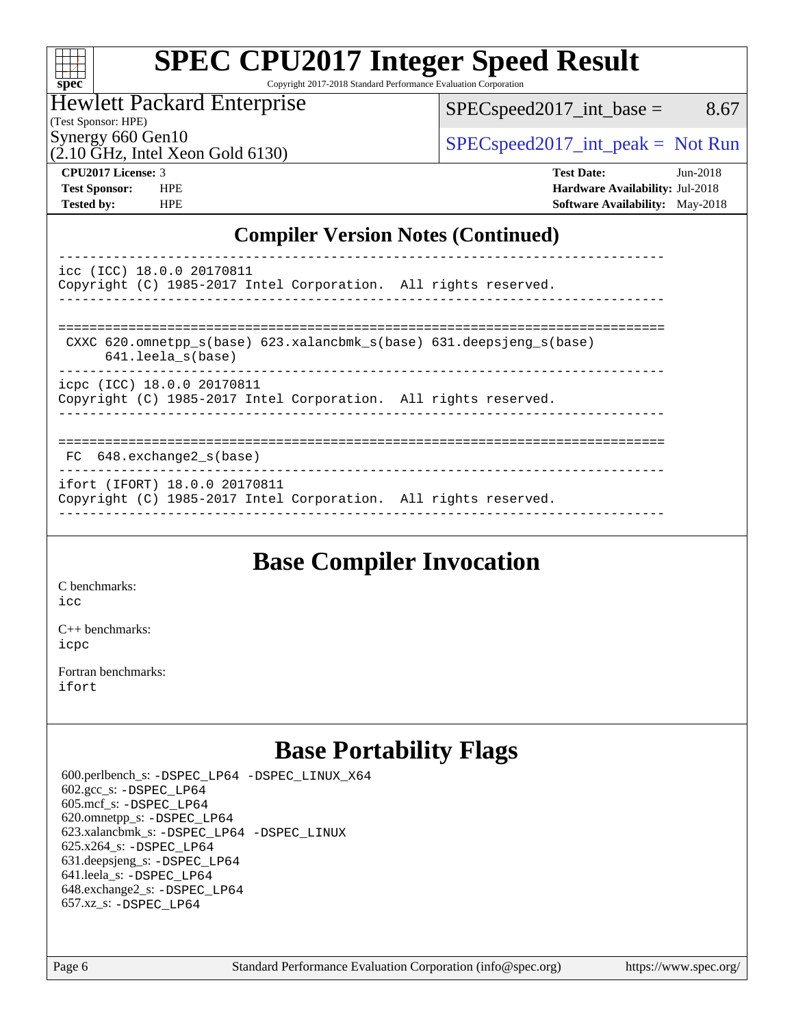| S)<br>E<br>U<br>L. |  |  |  |  |  |
|--------------------|--|--|--|--|--|

# **[SPEC CPU2017 Integer Speed Result](http://www.spec.org/auto/cpu2017/Docs/result-fields.html#SPECCPU2017IntegerSpeedResult)**

Copyright 2017-2018 Standard Performance Evaluation Corporation

#### Hewlett Packard Enterprise

 $SPEC speed2017\_int\_base =$  8.67

(Test Sponsor: HPE)

Synergy 660 Gen10<br>  $SPEC speed2017\_int\_peak = Not Run$ 

 $(2.10 \text{ GHz}, \text{Intel Xeon Gold } 6130)$ 

**[CPU2017 License:](http://www.spec.org/auto/cpu2017/Docs/result-fields.html#CPU2017License)** 3 **[Test Date:](http://www.spec.org/auto/cpu2017/Docs/result-fields.html#TestDate)** Jun-2018 **[Test Sponsor:](http://www.spec.org/auto/cpu2017/Docs/result-fields.html#TestSponsor)** HPE **[Hardware Availability:](http://www.spec.org/auto/cpu2017/Docs/result-fields.html#HardwareAvailability)** Jul-2018 **[Tested by:](http://www.spec.org/auto/cpu2017/Docs/result-fields.html#Testedby)** HPE **[Software Availability:](http://www.spec.org/auto/cpu2017/Docs/result-fields.html#SoftwareAvailability)** May-2018

#### **[Compiler Version Notes \(Continued\)](http://www.spec.org/auto/cpu2017/Docs/result-fields.html#CompilerVersionNotes)**

| icc (ICC) 18.0.0 20170811     |  | Copyright (C) 1985-2017 Intel Corporation. All rights reserved.      |  |
|-------------------------------|--|----------------------------------------------------------------------|--|
| $641.$ leela $s(base)$        |  | CXXC 620.omnetpp s(base) 623.xalancbmk s(base) 631.deepsjeng s(base) |  |
| icpc (ICC) 18.0.0 20170811    |  | Copyright (C) 1985-2017 Intel Corporation. All rights reserved.      |  |
| FC 648.exchange2 s(base)      |  |                                                                      |  |
| ifort (IFORT) 18.0.0 20170811 |  | Copyright (C) 1985-2017 Intel Corporation. All rights reserved.      |  |

------------------------------------------------------------------------------

## **[Base Compiler Invocation](http://www.spec.org/auto/cpu2017/Docs/result-fields.html#BaseCompilerInvocation)**

[C benchmarks](http://www.spec.org/auto/cpu2017/Docs/result-fields.html#Cbenchmarks):

[icc](http://www.spec.org/cpu2017/results/res2018q3/cpu2017-20180625-07307.flags.html#user_CCbase_intel_icc_18.0_66fc1ee009f7361af1fbd72ca7dcefbb700085f36577c54f309893dd4ec40d12360134090235512931783d35fd58c0460139e722d5067c5574d8eaf2b3e37e92)

[C++ benchmarks:](http://www.spec.org/auto/cpu2017/Docs/result-fields.html#CXXbenchmarks) [icpc](http://www.spec.org/cpu2017/results/res2018q3/cpu2017-20180625-07307.flags.html#user_CXXbase_intel_icpc_18.0_c510b6838c7f56d33e37e94d029a35b4a7bccf4766a728ee175e80a419847e808290a9b78be685c44ab727ea267ec2f070ec5dc83b407c0218cded6866a35d07)

[Fortran benchmarks](http://www.spec.org/auto/cpu2017/Docs/result-fields.html#Fortranbenchmarks): [ifort](http://www.spec.org/cpu2017/results/res2018q3/cpu2017-20180625-07307.flags.html#user_FCbase_intel_ifort_18.0_8111460550e3ca792625aed983ce982f94888b8b503583aa7ba2b8303487b4d8a21a13e7191a45c5fd58ff318f48f9492884d4413fa793fd88dd292cad7027ca)

## **[Base Portability Flags](http://www.spec.org/auto/cpu2017/Docs/result-fields.html#BasePortabilityFlags)**

 600.perlbench\_s: [-DSPEC\\_LP64](http://www.spec.org/cpu2017/results/res2018q3/cpu2017-20180625-07307.flags.html#b600.perlbench_s_basePORTABILITY_DSPEC_LP64) [-DSPEC\\_LINUX\\_X64](http://www.spec.org/cpu2017/results/res2018q3/cpu2017-20180625-07307.flags.html#b600.perlbench_s_baseCPORTABILITY_DSPEC_LINUX_X64) 602.gcc\_s: [-DSPEC\\_LP64](http://www.spec.org/cpu2017/results/res2018q3/cpu2017-20180625-07307.flags.html#suite_basePORTABILITY602_gcc_s_DSPEC_LP64) 605.mcf\_s: [-DSPEC\\_LP64](http://www.spec.org/cpu2017/results/res2018q3/cpu2017-20180625-07307.flags.html#suite_basePORTABILITY605_mcf_s_DSPEC_LP64) 620.omnetpp\_s: [-DSPEC\\_LP64](http://www.spec.org/cpu2017/results/res2018q3/cpu2017-20180625-07307.flags.html#suite_basePORTABILITY620_omnetpp_s_DSPEC_LP64) 623.xalancbmk\_s: [-DSPEC\\_LP64](http://www.spec.org/cpu2017/results/res2018q3/cpu2017-20180625-07307.flags.html#suite_basePORTABILITY623_xalancbmk_s_DSPEC_LP64) [-DSPEC\\_LINUX](http://www.spec.org/cpu2017/results/res2018q3/cpu2017-20180625-07307.flags.html#b623.xalancbmk_s_baseCXXPORTABILITY_DSPEC_LINUX) 625.x264\_s: [-DSPEC\\_LP64](http://www.spec.org/cpu2017/results/res2018q3/cpu2017-20180625-07307.flags.html#suite_basePORTABILITY625_x264_s_DSPEC_LP64) 631.deepsjeng\_s: [-DSPEC\\_LP64](http://www.spec.org/cpu2017/results/res2018q3/cpu2017-20180625-07307.flags.html#suite_basePORTABILITY631_deepsjeng_s_DSPEC_LP64) 641.leela\_s: [-DSPEC\\_LP64](http://www.spec.org/cpu2017/results/res2018q3/cpu2017-20180625-07307.flags.html#suite_basePORTABILITY641_leela_s_DSPEC_LP64) 648.exchange2\_s: [-DSPEC\\_LP64](http://www.spec.org/cpu2017/results/res2018q3/cpu2017-20180625-07307.flags.html#suite_basePORTABILITY648_exchange2_s_DSPEC_LP64) 657.xz\_s: [-DSPEC\\_LP64](http://www.spec.org/cpu2017/results/res2018q3/cpu2017-20180625-07307.flags.html#suite_basePORTABILITY657_xz_s_DSPEC_LP64)

Page 6 Standard Performance Evaluation Corporation [\(info@spec.org\)](mailto:info@spec.org) <https://www.spec.org/>